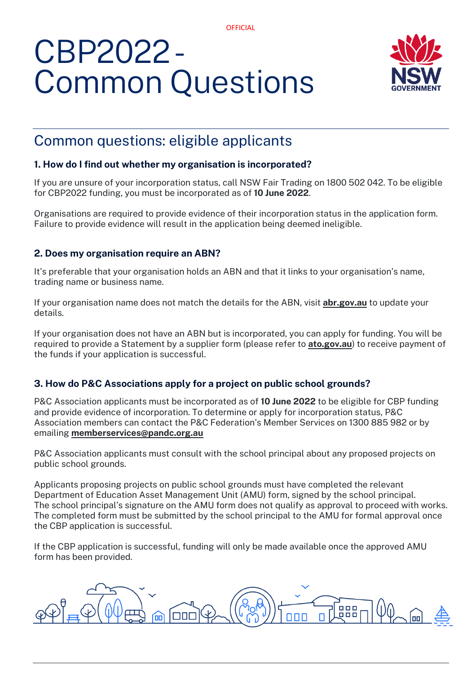**OFFICIAL** 

# CBP2022 - Common Questions



# Common questions: eligible applicants

# **1. How do I find out whether my organisation is incorporated?**

If you are unsure of your incorporation status, call NSW Fair Trading on 1800 502 042. To be eligible for CBP2022 funding, you must be incorporated as of **10 June 2022**.

Organisations are required to provide evidence of their incorporation status in the application form. Failure to provide evidence will result in the application being deemed ineligible.

# **2. Does my organisation require an ABN?**

It's preferable that your organisation holds an ABN and that it links to your organisation's name, trading name or business name.

If your organisation name does not match the details for the ABN, visit **[abr.gov.au](https://abr.gov.au/)** to update your details.

If your organisation does not have an ABN but is incorporated, you can apply for funding. You will be required to provide a Statement by a supplier form (please refer to **[ato.gov.au](https://www.ato.gov.au/forms/statement-by-a-supplier-not-quoting-an-abn/)**) to receive payment of the funds if your application is successful.

# **3. How do P&C Associations apply for a project on public school grounds?**

P&C Association applicants must be incorporated as of **10 June 2022** to be eligible for CBP funding and provide evidence of incorporation. To determine or apply for incorporation status, P&C Association members can contact the P&C Federation's Member Services on 1300 885 982 or by emailing **[memberservices@pandc.org.au](mailto:memberservices@pandc.org.au)**

P&C Association applicants must consult with the school principal about any proposed projects on public school grounds.

Applicants proposing projects on public school grounds must have completed the relevant Department of Education Asset Management Unit (AMU) form, signed by the school principal. The school principal's signature on the AMU form does not qualify as approval to proceed with works. The completed form must be submitted by the school principal to the AMU for formal approval once the CBP application is successful.

If the CBP application is successful, funding will only be made available once the approved AMU form has been provided.

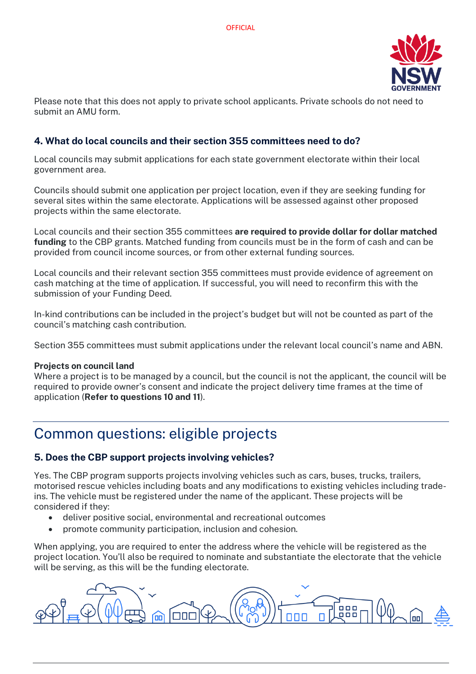

Please note that this does not apply to private school applicants. Private schools do not need to submit an AMU form.

# **4. What do local councils and their section 355 committees need to do?**

Local councils may submit applications for each state government electorate within their local government area.

Councils should submit one application per project location, even if they are seeking funding for several sites within the same electorate. Applications will be assessed against other proposed projects within the same electorate.

Local councils and their section 355 committees **are required to provide dollar for dollar matched funding** to the CBP grants. Matched funding from councils must be in the form of cash and can be provided from council income sources, or from other external funding sources.

Local councils and their relevant section 355 committees must provide evidence of agreement on cash matching at the time of application. If successful, you will need to reconfirm this with the submission of your Funding Deed.

In-kind contributions can be included in the project's budget but will not be counted as part of the council's matching cash contribution.

Section 355 committees must submit applications under the relevant local council's name and ABN.

#### **Projects on council land**

Where a project is to be managed by a council, but the council is not the applicant, the council will be required to provide owner's consent and indicate the project delivery time frames at the time of application (**Refer to questions 10 and 11**).

# Common questions: eligible projects

# **5. Does the CBP support projects involving vehicles?**

Yes. The CBP program supports projects involving vehicles such as cars, buses, trucks, trailers, motorised rescue vehicles including boats and any modifications to existing vehicles including tradeins. The vehicle must be registered under the name of the applicant. These projects will be considered if they:

- deliver positive social, environmental and recreational outcomes
- promote community participation, inclusion and cohesion.

When applying, you are required to enter the address where the vehicle will be registered as the project location. You'll also be required to nominate and substantiate the electorate that the vehicle will be serving, as this will be the funding electorate.

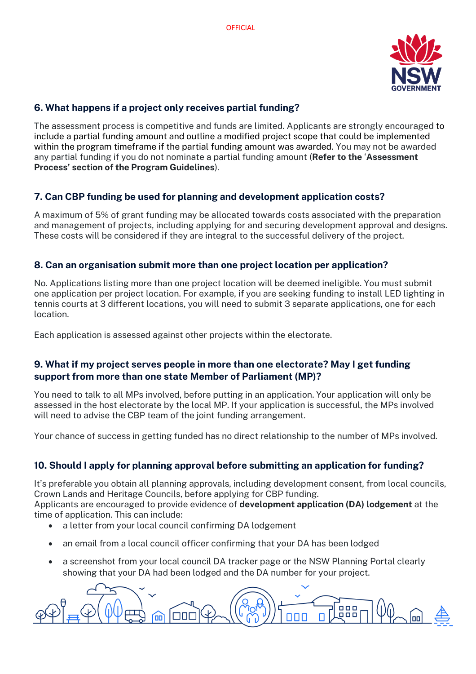

# **6. What happens if a project only receives partial funding?**

The assessment process is competitive and funds are limited. Applicants are strongly encouraged to include a partial funding amount and outline a modified project scope that could be implemented within the program timeframe if the partial funding amount was awarded. You may not be awarded any partial funding if you do not nominate a partial funding amount (**Refer to the** '**Assessment Process' section of the Program Guidelines**).

# **7. Can CBP funding be used for planning and development application costs?**

A maximum of 5% of grant funding may be allocated towards costs associated with the preparation and management of projects, including applying for and securing development approval and designs. These costs will be considered if they are integral to the successful delivery of the project.

# **8. Can an organisation submit more than one project location per application?**

No. Applications listing more than one project location will be deemed ineligible. You must submit one application per project location. For example, if you are seeking funding to install LED lighting in tennis courts at 3 different locations, you will need to submit 3 separate applications, one for each location.

Each application is assessed against other projects within the electorate.

# **9. What if my project serves people in more than one electorate? May I get funding support from more than one state Member of Parliament (MP)?**

You need to talk to all MPs involved, before putting in an application. Your application will only be assessed in the host electorate by the local MP. If your application is successful, the MPs involved will need to advise the CBP team of the joint funding arrangement.

Your chance of success in getting funded has no direct relationship to the number of MPs involved.

# **10. Should I apply for planning approval before submitting an application for funding?**

It's preferable you obtain all planning approvals, including development consent, from local councils, Crown Lands and Heritage Councils, before applying for CBP funding.

Applicants are encouraged to provide evidence of **development application (DA) lodgement** at the time of application. This can include:

- a letter from your local council confirming DA lodgement
- an email from a local council officer confirming that your DA has been lodged
- a screenshot from your local council DA tracker page or the NSW Planning Portal clearly showing that your DA had been lodged and the DA number for your project.

 $\Box \Box \Box$ ان1  $\Box \Pi$ **000** nnn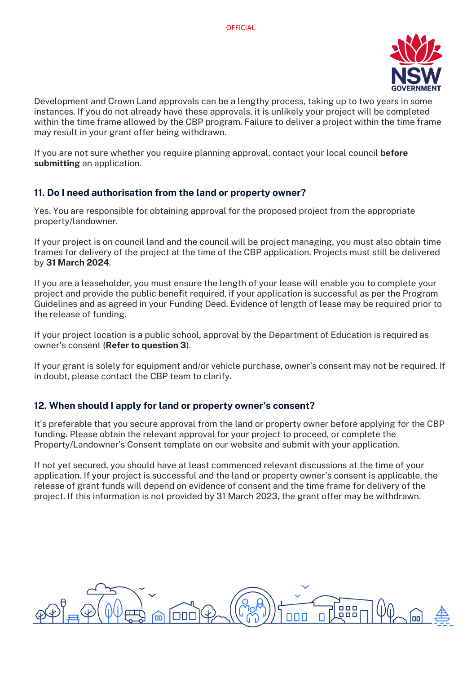

Development and Crown Land approvals can be a lengthy process, taking up to two years in some instances. If you do not already have these approvals, it is unlikely your project will be completed within the time frame allowed by the CBP program. Failure to deliver a project within the time frame may result in your grant offer being withdrawn.

If you are not sure whether you require planning approval, contact your local council **before submitting** an application.

# **11. Do I need authorisation from the land or property owner?**

Yes. You are responsible for obtaining approval for the proposed project from the appropriate property/landowner.

If your project is on council land and the council will be project managing, you must also obtain time frames for delivery of the project at the time of the CBP application. Projects must still be delivered by **31 March 2024**.

If you are a leaseholder, you must ensure the length of your lease will enable you to complete your project and provide the public benefit required, if your application is successful as per the Program Guidelines and as agreed in your Funding Deed. Evidence of length of lease may be required prior to the release of funding.

If your project location is a public school, approval by the Department of Education is required as owner's consent (**Refer to question 3**).

If your grant is solely for equipment and/or vehicle purchase, owner's consent may not be required. If in doubt, please contact the CBP team to clarify.

# **12. When should I apply for land or property owner's consent?**

It's preferable that you secure approval from the land or property owner before applying for the CBP funding. Please obtain the relevant approval for your project to proceed, or complete the Property/Landowner's Consent template on our website and submit with your application.

If not yet secured, you should have at least commenced relevant discussions at the time of your application. If your project is successful and the land or property owner's consent is applicable, the release of grant funds will depend on evidence of consent and the time frame for delivery of the project. If this information is not provided by 31 March 2023, the grant offer may be withdrawn.

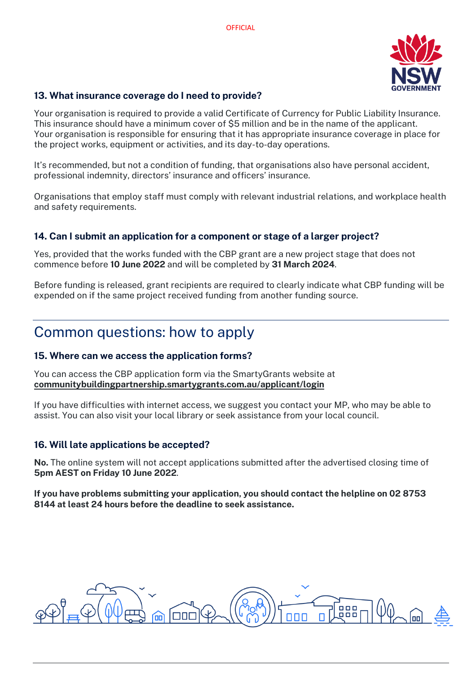

#### **13. What insurance coverage do I need to provide?**

Your organisation is required to provide a valid Certificate of Currency for Public Liability Insurance. This insurance should have a minimum cover of \$5 million and be in the name of the applicant. Your organisation is responsible for ensuring that it has appropriate insurance coverage in place for the project works, equipment or activities, and its day-to-day operations.

It's recommended, but not a condition of funding, that organisations also have personal accident, professional indemnity, directors' insurance and officers' insurance.

Organisations that employ staff must comply with relevant industrial relations, and workplace health and safety requirements.

# **14. Can I submit an application for a component or stage of a larger project?**

Yes, provided that the works funded with the CBP grant are a new project stage that does not commence before **10 June 2022** and will be completed by **31 March 2024**.

Before funding is released, grant recipients are required to clearly indicate what CBP funding will be expended on if the same project received funding from another funding source.

# Common questions: how to apply

#### **15. Where can we access the application forms?**

You can access the CBP application form via the SmartyGrants website at **[communitybuildingpartnership.smartygrants.com.au/applicant/login](https://communitybuildingpartnership.smartygrants.com.au/applicant/login)**

If you have difficulties with internet access, we suggest you contact your MP, who may be able to assist. You can also visit your local library or seek assistance from your local council.

#### **16. Will late applications be accepted?**

**No.** The online system will not accept applications submitted after the advertised closing time of **5pm AEST on Friday 10 June 2022**.

**If you have problems submitting your application, you should contact the helpline on 02 8753 8144 at least 24 hours before the deadline to seek assistance.**

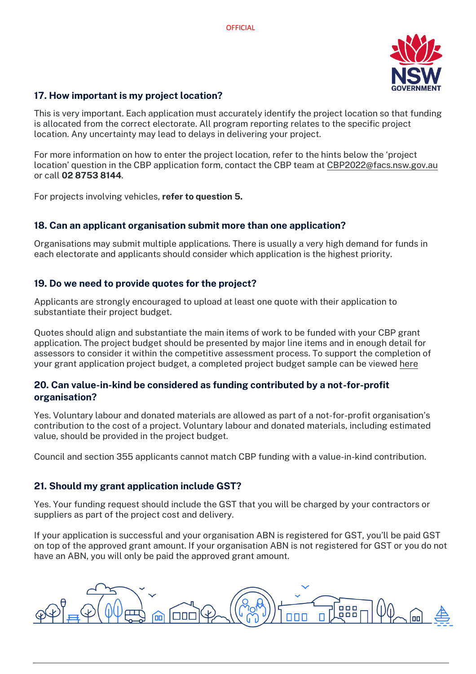

# **17. How important is my project location?**

This is very important. Each application must accurately identify the project location so that funding is allocated from the correct electorate. All program reporting relates to the specific project location. Any uncertainty may lead to delays in delivering your project.

For more information on how to enter the project location, refer to the hints below the 'project location' question in the CBP application form, contact the CBP team at [CBP2022@facs.nsw.gov.au](mailto:CBP2022@facs.nsw.gov.au) or call **02 8753 8144**.

For projects involving vehicles, **refer to question 5.**

#### **18. Can an applicant organisation submit more than one application?**

Organisations may submit multiple applications. There is usually a very high demand for funds in each electorate and applicants should consider which application is the highest priority.

# **19. Do we need to provide quotes for the project?**

Applicants are strongly encouraged to upload at least one quote with their application to substantiate their project budget.

Quotes should align and substantiate the main items of work to be funded with your CBP grant application. The project budget should be presented by major line items and in enough detail for assessors to consider it within the competitive assessment process. To support the completion of your grant application project budget, a completed project budget sample can be viewed [here](https://communitybuildingpartnership.smartygrants.com.au/d/files/dlm/4fea16fa2b58b5164be5b2cdc25d49a15e092)

#### **20. Can value-in-kind be considered as funding contributed by a not-for-profit organisation?**

Yes. Voluntary labour and donated materials are allowed as part of a not-for-profit organisation's contribution to the cost of a project. Voluntary labour and donated materials, including estimated value, should be provided in the project budget.

Council and section 355 applicants cannot match CBP funding with a value-in-kind contribution.

# **21. Should my grant application include GST?**

Yes. Your funding request should include the GST that you will be charged by your contractors or suppliers as part of the project cost and delivery.

If your application is successful and your organisation ABN is registered for GST, you'll be paid GST on top of the approved grant amount. If your organisation ABN is not registered for GST or you do not have an ABN, you will only be paid the approved grant amount.

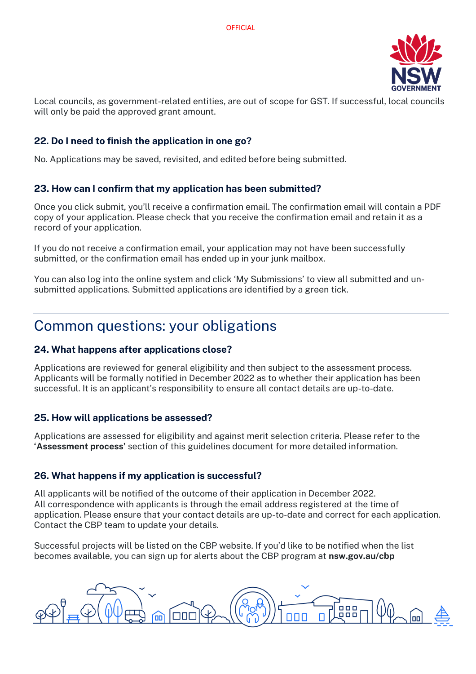

Local councils, as government-related entities, are out of scope for GST. If successful, local councils will only be paid the approved grant amount.

# **22. Do I need to finish the application in one go?**

No. Applications may be saved, revisited, and edited before being submitted.

#### **23. How can I confirm that my application has been submitted?**

Once you click submit, you'll receive a confirmation email. The confirmation email will contain a PDF copy of your application. Please check that you receive the confirmation email and retain it as a record of your application.

If you do not receive a confirmation email, your application may not have been successfully submitted, or the confirmation email has ended up in your junk mailbox.

You can also log into the online system and click 'My Submissions' to view all submitted and unsubmitted applications. Submitted applications are identified by a green tick.

# Common questions: your obligations

# **24. What happens after applications close?**

Applications are reviewed for general eligibility and then subject to the assessment process. Applicants will be formally notified in December 2022 as to whether their application has been successful. It is an applicant's responsibility to ensure all contact details are up-to-date.

#### **25. How will applications be assessed?**

Applications are assessed for eligibility and against merit selection criteria. Please refer to the **'Assessment process'** section of this guidelines document for more detailed information.

# **26. What happens if my application is successful?**

All applicants will be notified of the outcome of their application in December 2022. All correspondence with applicants is through the email address registered at the time of application. Please ensure that your contact details are up-to-date and correct for each application. Contact the CBP team to update your details.

Successful projects will be listed on the CBP website. If you'd like to be notified when the list becomes available, you can sign up for alerts about the CBP program at **[nsw.gov.au/cbp](https://nsw.gov.au/cbp)**

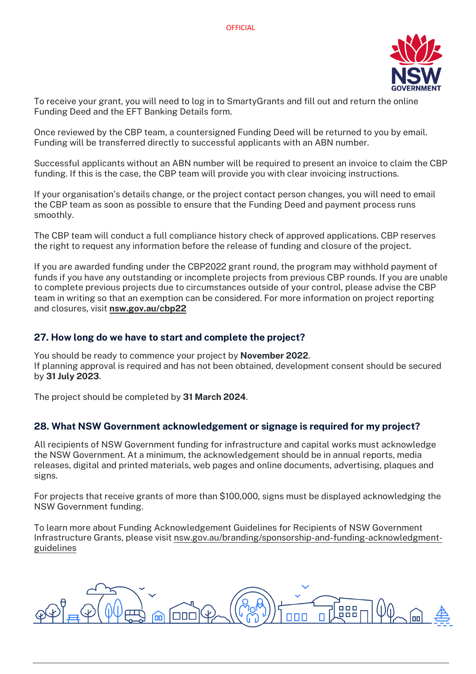

To receive your grant, you will need to log in to SmartyGrants and fill out and return the online Funding Deed and the EFT Banking Details form.

Once reviewed by the CBP team, a countersigned Funding Deed will be returned to you by email. Funding will be transferred directly to successful applicants with an ABN number.

Successful applicants without an ABN number will be required to present an invoice to claim the CBP funding. If this is the case, the CBP team will provide you with clear invoicing instructions.

If your organisation's details change, or the project contact person changes, you will need to email the CBP team as soon as possible to ensure that the Funding Deed and payment process runs smoothly.

The CBP team will conduct a full compliance history check of approved applications. CBP reserves the right to request any information before the release of funding and closure of the project.

If you are awarded funding under the CBP2022 grant round, the program may withhold payment of funds if you have any outstanding or incomplete projects from previous CBP rounds. If you are unable to complete previous projects due to circumstances outside of your control, please advise the CBP team in writing so that an exemption can be considered. For more information on project reporting and closures, visit **[nsw.gov.au/cbp22](https://www.nsw.gov.au/CBP22)**

#### **27. How long do we have to start and complete the project?**

You should be ready to commence your project by **November 2022**. If planning approval is required and has not been obtained, development consent should be secured by **31 July 2023**.

The project should be completed by **31 March 2024**.

#### **28. What NSW Government acknowledgement or signage is required for my project?**

All recipients of NSW Government funding for infrastructure and capital works must acknowledge the NSW Government. At a minimum, the acknowledgement should be in annual reports, media releases, digital and printed materials, web pages and online documents, advertising, plaques and signs.

For projects that receive grants of more than \$100,000, signs must be displayed acknowledging the NSW Government funding.

To learn more about Funding Acknowledgement Guidelines for Recipients of NSW Government Infrastructure Grants, please visit [nsw.gov.au/branding/sponsorship-and-funding-acknowledgment](http://nsw.gov.au/branding/sponsorship-and-funding-acknowledgment-guidelines)[guidelines](http://nsw.gov.au/branding/sponsorship-and-funding-acknowledgment-guidelines)